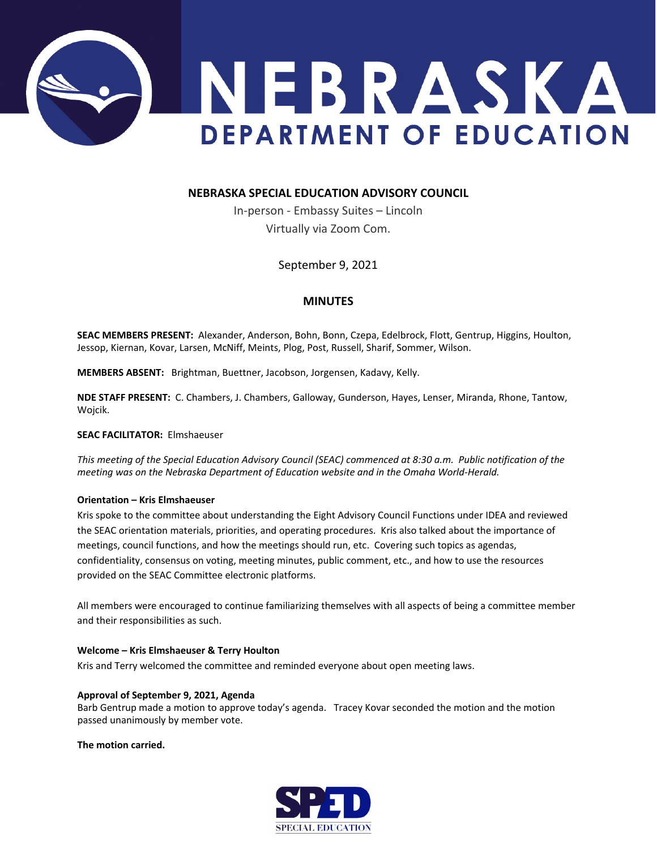

# **NEBRASKA SPECIAL EDUCATION ADVISORY COUNCIL**

In-person - Embassy Suites – Lincoln Virtually via Zoom Com.

September 9, 2021

# **MINUTES**

**SEAC MEMBERS PRESENT:** Alexander, Anderson, Bohn, Bonn, Czepa, Edelbrock, Flott, Gentrup, Higgins, Houlton, Jessop, Kiernan, Kovar, Larsen, McNiff, Meints, Plog, Post, Russell, Sharif, Sommer, Wilson.

**MEMBERS ABSENT:** Brightman, Buettner, Jacobson, Jorgensen, Kadavy, Kelly.

**NDE STAFF PRESENT:** C. Chambers, J. Chambers, Galloway, Gunderson, Hayes, Lenser, Miranda, Rhone, Tantow, Wojcik.

**SEAC FACILITATOR:** Elmshaeuser

*This meeting of the Special Education Advisory Council (SEAC) commenced at 8:30 a.m. Public notification of the meeting was on the Nebraska Department of Education website and in the Omaha World-Herald.*

### **Orientation – Kris Elmshaeuser**

Kris spoke to the committee about understanding the Eight Advisory Council Functions under IDEA and reviewed the SEAC orientation materials, priorities, and operating procedures. Kris also talked about the importance of meetings, council functions, and how the meetings should run, etc. Covering such topics as agendas, confidentiality, consensus on voting, meeting minutes, public comment, etc., and how to use the resources provided on the SEAC Committee electronic platforms.

All members were encouraged to continue familiarizing themselves with all aspects of being a committee member and their responsibilities as such.

## **Welcome – Kris Elmshaeuser & Terry Houlton**

Kris and Terry welcomed the committee and reminded everyone about open meeting laws.

### **Approval of September 9, 2021, Agenda**

Barb Gentrup made a motion to approve today's agenda. Tracey Kovar seconded the motion and the motion passed unanimously by member vote.

### **The motion carried.**

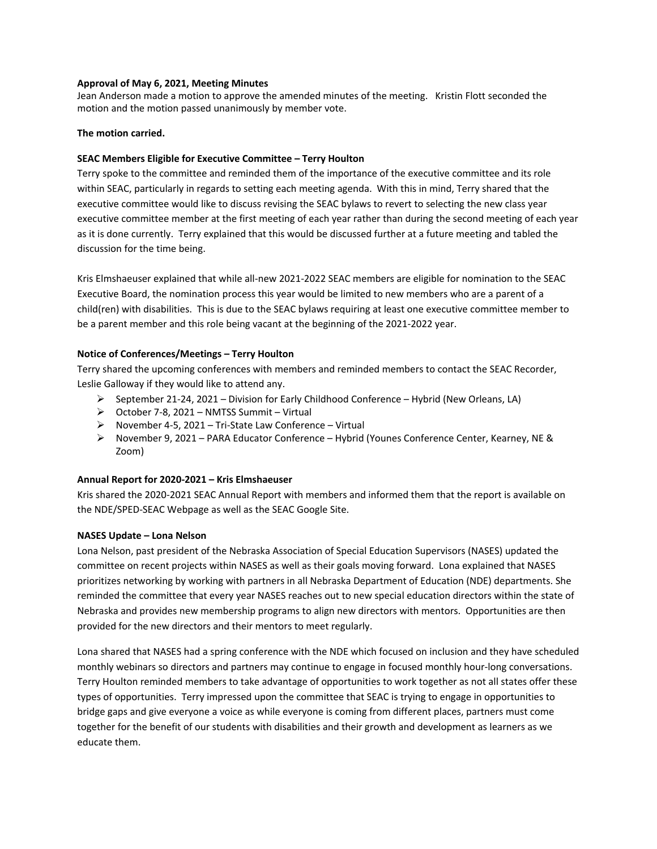### **Approval of May 6, 2021, Meeting Minutes**

Jean Anderson made a motion to approve the amended minutes of the meeting. Kristin Flott seconded the motion and the motion passed unanimously by member vote.

### **The motion carried.**

### **SEAC Members Eligible for Executive Committee – Terry Houlton**

Terry spoke to the committee and reminded them of the importance of the executive committee and its role within SEAC, particularly in regards to setting each meeting agenda. With this in mind, Terry shared that the executive committee would like to discuss revising the SEAC bylaws to revert to selecting the new class year executive committee member at the first meeting of each year rather than during the second meeting of each year as it is done currently. Terry explained that this would be discussed further at a future meeting and tabled the discussion for the time being.

Kris Elmshaeuser explained that while all-new 2021-2022 SEAC members are eligible for nomination to the SEAC Executive Board, the nomination process this year would be limited to new members who are a parent of a child(ren) with disabilities. This is due to the SEAC bylaws requiring at least one executive committee member to be a parent member and this role being vacant at the beginning of the 2021-2022 year.

### **Notice of Conferences/Meetings – Terry Houlton**

Terry shared the upcoming conferences with members and reminded members to contact the SEAC Recorder, Leslie Galloway if they would like to attend any.

- $\triangleright$  September 21-24, 2021 Division for Early Childhood Conference Hybrid (New Orleans, LA)
- October 7-8, 2021 NMTSS Summit Virtual
- $\triangleright$  November 4-5, 2021 Tri-State Law Conference Virtual
- $\triangleright$  November 9, 2021 PARA Educator Conference Hybrid (Younes Conference Center, Kearney, NE & Zoom)

## **Annual Report for 2020-2021 – Kris Elmshaeuser**

Kris shared the 2020-2021 SEAC Annual Report with members and informed them that the report is available on the NDE/SPED-SEAC Webpage as well as the SEAC Google Site.

### **NASES Update – Lona Nelson**

Lona Nelson, past president of the Nebraska Association of Special Education Supervisors (NASES) updated the committee on recent projects within NASES as well as their goals moving forward. Lona explained that NASES prioritizes networking by working with partners in all Nebraska Department of Education (NDE) departments. She reminded the committee that every year NASES reaches out to new special education directors within the state of Nebraska and provides new membership programs to align new directors with mentors. Opportunities are then provided for the new directors and their mentors to meet regularly.

Lona shared that NASES had a spring conference with the NDE which focused on inclusion and they have scheduled monthly webinars so directors and partners may continue to engage in focused monthly hour-long conversations. Terry Houlton reminded members to take advantage of opportunities to work together as not all states offer these types of opportunities. Terry impressed upon the committee that SEAC is trying to engage in opportunities to bridge gaps and give everyone a voice as while everyone is coming from different places, partners must come together for the benefit of our students with disabilities and their growth and development as learners as we educate them.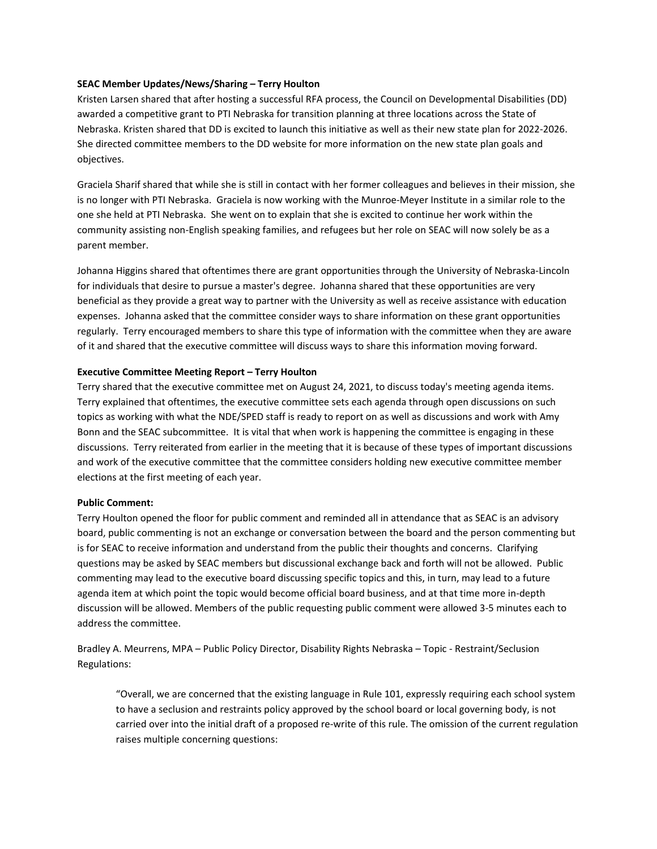### **SEAC Member Updates/News/Sharing – Terry Houlton**

Kristen Larsen shared that after hosting a successful RFA process, the Council on Developmental Disabilities (DD) awarded a competitive grant to PTI Nebraska for transition planning at three locations across the State of Nebraska. Kristen shared that DD is excited to launch this initiative as well as their new state plan for 2022-2026. She directed committee members to the DD website for more information on the new state plan goals and objectives.

Graciela Sharif shared that while she is still in contact with her former colleagues and believes in their mission, she is no longer with PTI Nebraska. Graciela is now working with the Munroe-Meyer Institute in a similar role to the one she held at PTI Nebraska. She went on to explain that she is excited to continue her work within the community assisting non-English speaking families, and refugees but her role on SEAC will now solely be as a parent member.

Johanna Higgins shared that oftentimes there are grant opportunities through the University of Nebraska-Lincoln for individuals that desire to pursue a master's degree. Johanna shared that these opportunities are very beneficial as they provide a great way to partner with the University as well as receive assistance with education expenses. Johanna asked that the committee consider ways to share information on these grant opportunities regularly. Terry encouraged members to share this type of information with the committee when they are aware of it and shared that the executive committee will discuss ways to share this information moving forward.

### **Executive Committee Meeting Report – Terry Houlton**

Terry shared that the executive committee met on August 24, 2021, to discuss today's meeting agenda items. Terry explained that oftentimes, the executive committee sets each agenda through open discussions on such topics as working with what the NDE/SPED staff is ready to report on as well as discussions and work with Amy Bonn and the SEAC subcommittee. It is vital that when work is happening the committee is engaging in these discussions. Terry reiterated from earlier in the meeting that it is because of these types of important discussions and work of the executive committee that the committee considers holding new executive committee member elections at the first meeting of each year.

### **Public Comment:**

Terry Houlton opened the floor for public comment and reminded all in attendance that as SEAC is an advisory board, public commenting is not an exchange or conversation between the board and the person commenting but is for SEAC to receive information and understand from the public their thoughts and concerns. Clarifying questions may be asked by SEAC members but discussional exchange back and forth will not be allowed. Public commenting may lead to the executive board discussing specific topics and this, in turn, may lead to a future agenda item at which point the topic would become official board business, and at that time more in-depth discussion will be allowed. Members of the public requesting public comment were allowed 3-5 minutes each to address the committee.

Bradley A. Meurrens, MPA – Public Policy Director, Disability Rights Nebraska – Topic - Restraint/Seclusion Regulations:

"Overall, we are concerned that the existing language in Rule 101, expressly requiring each school system to have a seclusion and restraints policy approved by the school board or local governing body, is not carried over into the initial draft of a proposed re-write of this rule. The omission of the current regulation raises multiple concerning questions: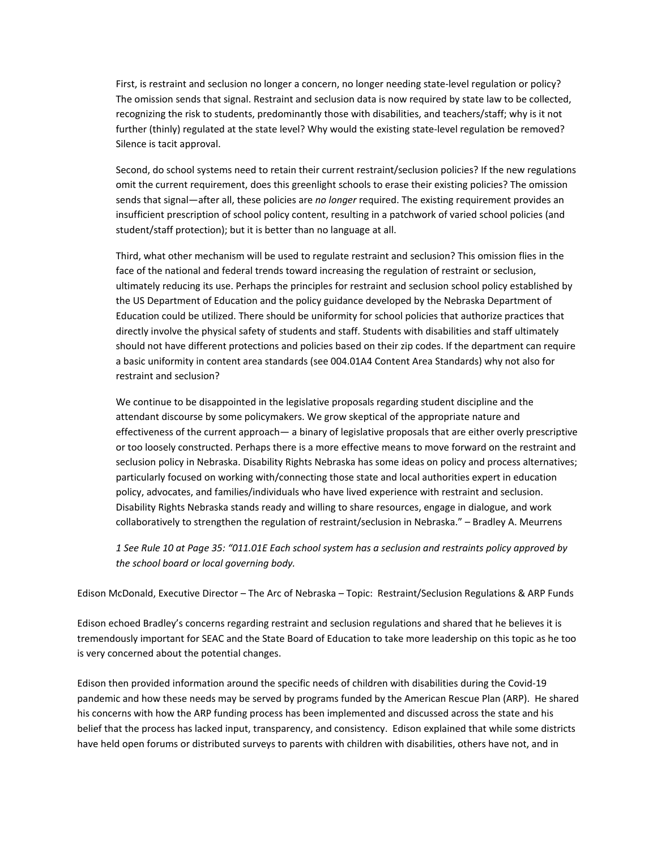First, is restraint and seclusion no longer a concern, no longer needing state-level regulation or policy? The omission sends that signal. Restraint and seclusion data is now required by state law to be collected, recognizing the risk to students, predominantly those with disabilities, and teachers/staff; why is it not further (thinly) regulated at the state level? Why would the existing state-level regulation be removed? Silence is tacit approval.

Second, do school systems need to retain their current restraint/seclusion policies? If the new regulations omit the current requirement, does this greenlight schools to erase their existing policies? The omission sends that signal—after all, these policies are *no longer* required. The existing requirement provides an insufficient prescription of school policy content, resulting in a patchwork of varied school policies (and student/staff protection); but it is better than no language at all.

Third, what other mechanism will be used to regulate restraint and seclusion? This omission flies in the face of the national and federal trends toward increasing the regulation of restraint or seclusion, ultimately reducing its use. Perhaps the principles for restraint and seclusion school policy established by the US Department of Education and the policy guidance developed by the Nebraska Department of Education could be utilized. There should be uniformity for school policies that authorize practices that directly involve the physical safety of students and staff. Students with disabilities and staff ultimately should not have different protections and policies based on their zip codes. If the department can require a basic uniformity in content area standards (see 004.01A4 Content Area Standards) why not also for restraint and seclusion?

We continue to be disappointed in the legislative proposals regarding student discipline and the attendant discourse by some policymakers. We grow skeptical of the appropriate nature and effectiveness of the current approach— a binary of legislative proposals that are either overly prescriptive or too loosely constructed. Perhaps there is a more effective means to move forward on the restraint and seclusion policy in Nebraska. Disability Rights Nebraska has some ideas on policy and process alternatives; particularly focused on working with/connecting those state and local authorities expert in education policy, advocates, and families/individuals who have lived experience with restraint and seclusion. Disability Rights Nebraska stands ready and willing to share resources, engage in dialogue, and work collaboratively to strengthen the regulation of restraint/seclusion in Nebraska." – Bradley A. Meurrens

*1 See Rule 10 at Page 35: "011.01E Each school system has a seclusion and restraints policy approved by the school board or local governing body.*

Edison McDonald, Executive Director – The Arc of Nebraska – Topic: Restraint/Seclusion Regulations & ARP Funds

Edison echoed Bradley's concerns regarding restraint and seclusion regulations and shared that he believes it is tremendously important for SEAC and the State Board of Education to take more leadership on this topic as he too is very concerned about the potential changes.

Edison then provided information around the specific needs of children with disabilities during the Covid-19 pandemic and how these needs may be served by programs funded by the American Rescue Plan (ARP). He shared his concerns with how the ARP funding process has been implemented and discussed across the state and his belief that the process has lacked input, transparency, and consistency. Edison explained that while some districts have held open forums or distributed surveys to parents with children with disabilities, others have not, and in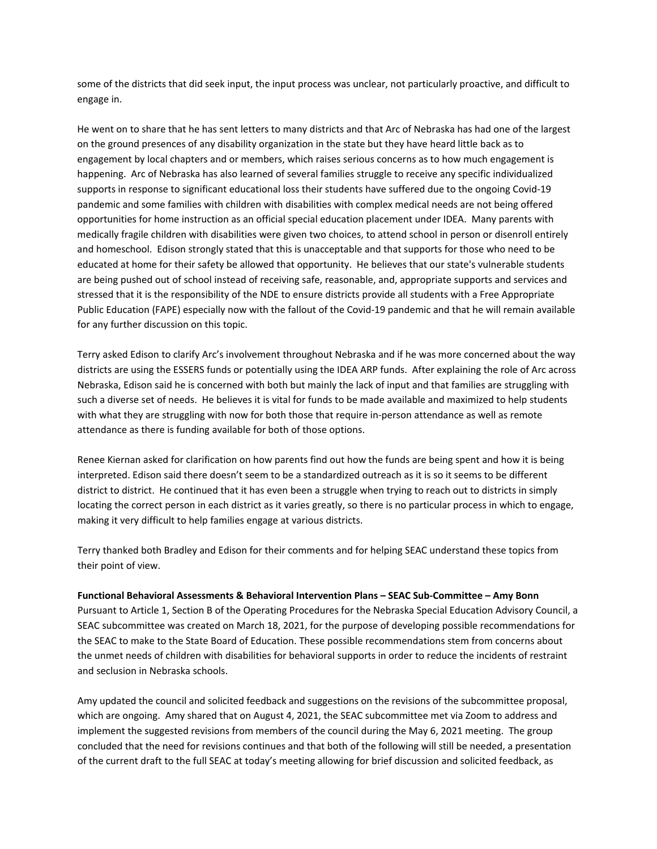some of the districts that did seek input, the input process was unclear, not particularly proactive, and difficult to engage in.

He went on to share that he has sent letters to many districts and that Arc of Nebraska has had one of the largest on the ground presences of any disability organization in the state but they have heard little back as to engagement by local chapters and or members, which raises serious concerns as to how much engagement is happening. Arc of Nebraska has also learned of several families struggle to receive any specific individualized supports in response to significant educational loss their students have suffered due to the ongoing Covid-19 pandemic and some families with children with disabilities with complex medical needs are not being offered opportunities for home instruction as an official special education placement under IDEA. Many parents with medically fragile children with disabilities were given two choices, to attend school in person or disenroll entirely and homeschool. Edison strongly stated that this is unacceptable and that supports for those who need to be educated at home for their safety be allowed that opportunity. He believes that our state's vulnerable students are being pushed out of school instead of receiving safe, reasonable, and, appropriate supports and services and stressed that it is the responsibility of the NDE to ensure districts provide all students with a Free Appropriate Public Education (FAPE) especially now with the fallout of the Covid-19 pandemic and that he will remain available for any further discussion on this topic.

Terry asked Edison to clarify Arc's involvement throughout Nebraska and if he was more concerned about the way districts are using the ESSERS funds or potentially using the IDEA ARP funds. After explaining the role of Arc across Nebraska, Edison said he is concerned with both but mainly the lack of input and that families are struggling with such a diverse set of needs. He believes it is vital for funds to be made available and maximized to help students with what they are struggling with now for both those that require in-person attendance as well as remote attendance as there is funding available for both of those options.

Renee Kiernan asked for clarification on how parents find out how the funds are being spent and how it is being interpreted. Edison said there doesn't seem to be a standardized outreach as it is so it seems to be different district to district. He continued that it has even been a struggle when trying to reach out to districts in simply locating the correct person in each district as it varies greatly, so there is no particular process in which to engage, making it very difficult to help families engage at various districts.

Terry thanked both Bradley and Edison for their comments and for helping SEAC understand these topics from their point of view.

# **Functional Behavioral Assessments & Behavioral Intervention Plans – SEAC Sub-Committee – Amy Bonn**

Pursuant to Article 1, Section B of the Operating Procedures for the Nebraska Special Education Advisory Council, a SEAC subcommittee was created on March 18, 2021, for the purpose of developing possible recommendations for the SEAC to make to the State Board of Education. These possible recommendations stem from concerns about the unmet needs of children with disabilities for behavioral supports in order to reduce the incidents of restraint and seclusion in Nebraska schools.

Amy updated the council and solicited feedback and suggestions on the revisions of the subcommittee proposal, which are ongoing. Amy shared that on August 4, 2021, the SEAC subcommittee met via Zoom to address and implement the suggested revisions from members of the council during the May 6, 2021 meeting. The group concluded that the need for revisions continues and that both of the following will still be needed, a presentation of the current draft to the full SEAC at today's meeting allowing for brief discussion and solicited feedback, as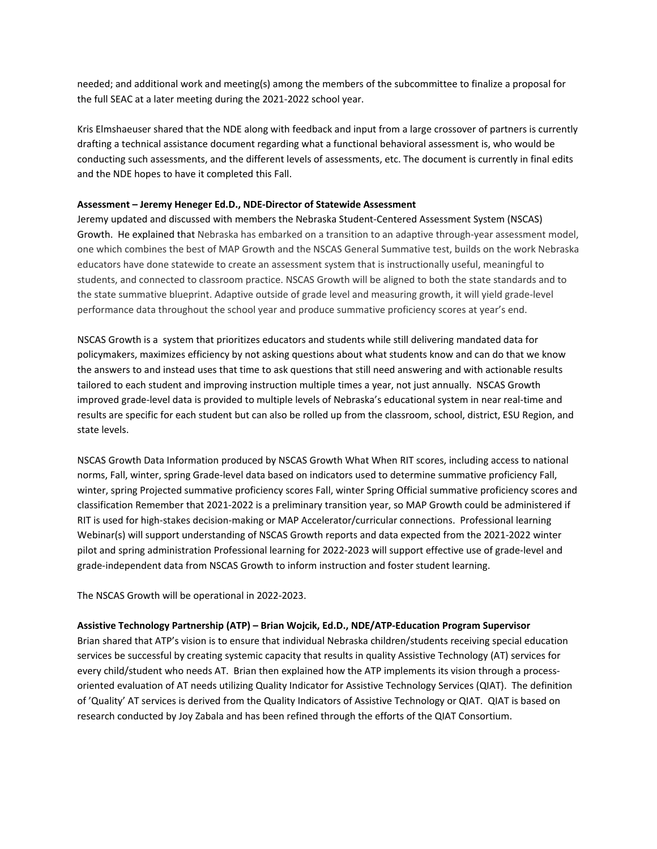needed; and additional work and meeting(s) among the members of the subcommittee to finalize a proposal for the full SEAC at a later meeting during the 2021-2022 school year.

Kris Elmshaeuser shared that the NDE along with feedback and input from a large crossover of partners is currently drafting a technical assistance document regarding what a functional behavioral assessment is, who would be conducting such assessments, and the different levels of assessments, etc. The document is currently in final edits and the NDE hopes to have it completed this Fall.

#### **Assessment – Jeremy Heneger Ed.D., NDE-Director of Statewide Assessment**

Jeremy updated and discussed with members the Nebraska Student-Centered Assessment System (NSCAS) Growth. He explained that Nebraska has embarked on a transition to an adaptive through-year assessment model, one which combines the best of MAP Growth and the NSCAS General Summative test, builds on the work Nebraska educators have done statewide to create an assessment system that is instructionally useful, meaningful to students, and connected to classroom practice. NSCAS Growth will be aligned to both the state standards and to the state summative blueprint. Adaptive outside of grade level and measuring growth, it will yield grade-level performance data throughout the school year and produce summative proficiency scores at year's end.

NSCAS Growth is a system that prioritizes educators and students while still delivering mandated data for policymakers, maximizes efficiency by not asking questions about what students know and can do that we know the answers to and instead uses that time to ask questions that still need answering and with actionable results tailored to each student and improving instruction multiple times a year, not just annually. NSCAS Growth improved grade-level data is provided to multiple levels of Nebraska's educational system in near real-time and results are specific for each student but can also be rolled up from the classroom, school, district, ESU Region, and state levels.

NSCAS Growth Data Information produced by NSCAS Growth What When RIT scores, including access to national norms, Fall, winter, spring Grade-level data based on indicators used to determine summative proficiency Fall, winter, spring Projected summative proficiency scores Fall, winter Spring Official summative proficiency scores and classification Remember that 2021-2022 is a preliminary transition year, so MAP Growth could be administered if RIT is used for high-stakes decision-making or MAP Accelerator/curricular connections. Professional learning Webinar(s) will support understanding of NSCAS Growth reports and data expected from the 2021-2022 winter pilot and spring administration Professional learning for 2022-2023 will support effective use of grade-level and grade-independent data from NSCAS Growth to inform instruction and foster student learning.

The NSCAS Growth will be operational in 2022-2023.

### **Assistive Technology Partnership (ATP) – Brian Wojcik, Ed.D., NDE/ATP-Education Program Supervisor**

Brian shared that ATP's vision is to ensure that individual Nebraska children/students receiving special education services be successful by creating systemic capacity that results in quality Assistive Technology (AT) services for every child/student who needs AT. Brian then explained how the ATP implements its vision through a processoriented evaluation of AT needs utilizing Quality Indicator for Assistive Technology Services (QIAT). The definition of 'Quality' AT services is derived from the Quality Indicators of Assistive Technology or QIAT. QIAT is based on research conducted by Joy Zabala and has been refined through the efforts of the QIAT Consortium.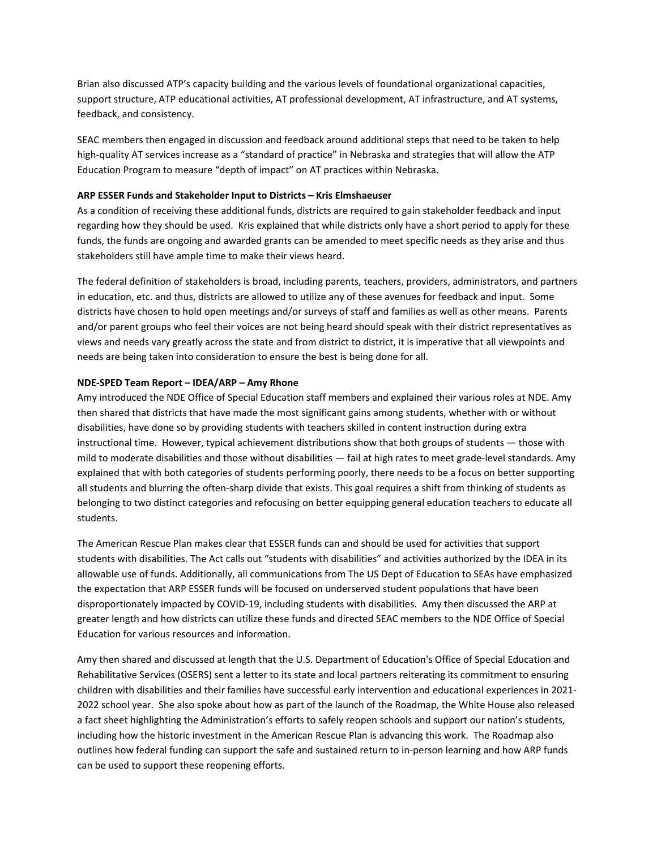Brian also discussed ATP's capacity building and the various levels of foundational organizational capacities, support structure, ATP educational activities, AT professional development, AT infrastructure, and AT systems, feedback, and consistency.

SEAC members then engaged in discussion and feedback around additional steps that need to be taken to help high-quality AT services increase as a "standard of practice" in Nebraska and strategies that will allow the ATP Education Program to measure "depth of impact" on AT practices within Nebraska.

### **ARP ESSER Funds and Stakeholder Input to Districts – Kris Elmshaeuser**

As a condition of receiving these additional funds, districts are required to gain stakeholder feedback and input regarding how they should be used. Kris explained that while districts only have a short period to apply for these funds, the funds are ongoing and awarded grants can be amended to meet specific needs as they arise and thus stakeholders still have ample time to make their views heard.

The federal definition of stakeholders is broad, including parents, teachers, providers, administrators, and partners in education, etc. and thus, districts are allowed to utilize any of these avenues for feedback and input. Some districts have chosen to hold open meetings and/or surveys of staff and families as well as other means. Parents and/or parent groups who feel their voices are not being heard should speak with their district representatives as views and needs vary greatly across the state and from district to district, it is imperative that all viewpoints and needs are being taken into consideration to ensure the best is being done for all.

### **NDE-SPED Team Report – IDEA/ARP – Amy Rhone**

Amy introduced the NDE Office of Special Education staff members and explained their various roles at NDE. Amy then shared that districts that have made the most significant gains among students, whether with or without disabilities, have done so by providing students with teachers skilled in content instruction during extra instructional time. However, typical achievement distributions show that both groups of students — those with mild to moderate disabilities and those without disabilities — fail at high rates to meet grade-level standards. Amy explained that with both categories of students performing poorly, there needs to be a focus on better supporting all students and blurring the often-sharp divide that exists. This goal requires a shift from thinking of students as belonging to two distinct categories and refocusing on better equipping general education teachers to educate all students.

The American Rescue Plan makes clear that ESSER funds can and should be used for activities that support students with disabilities. The Act calls out "students with disabilities" and activities authorized by the IDEA in its allowable use of funds. Additionally, all communications from The US Dept of Education to SEAs have emphasized the expectation that ARP ESSER funds will be focused on underserved student populations that have been disproportionately impacted by COVID-19, including students with disabilities. Amy then discussed the ARP at greater length and how districts can utilize these funds and directed SEAC members to the NDE Office of Special Education for various resources and information.

Amy then shared and discussed at length that the U.S. Department of Education's Office of Special Education and Rehabilitative Services (OSERS) sent [a letter t](https://sites.ed.gov/idea/files/rts-idea-08-24-2021.pdf)o its state and local partners reiterating its commitment to ensuring children with disabilities and their families have successful early intervention and educational experiences in 2021- 2022 school year. She also spoke about how as part of the launch of the Roadmap, the White House also released a [fact sheet](https://lnks.gd/l/eyJhbGciOiJIUzI1NiJ9.eyJidWxsZXRpbl9saW5rX2lkIjoxMDYsInVyaSI6ImJwMjpjbGljayIsImJ1bGxldGluX2lkIjoiMjAyMTA4MDMuNDQwNzQ4MzEiLCJ1cmwiOiJodHRwczovL3d3dy53aGl0ZWhvdXNlLmdvdi9icmllZmluZy1yb29tL3N0YXRlbWVudHMtcmVsZWFzZXMvMjAyMS8wOC8wMi9mYWN0LXNoZWV0LXJlb3BlbmluZy1zY2hvb2xzLWFuZC1yZWJ1aWxkaW5nLXdpdGgtZXF1aXR5Lz91dG1fY29udGVudD0mdXRtX21lZGl1bT1lbWFpbCZ1dG1fbmFtZT0mdXRtX3NvdXJjZT1nb3ZkZWxpdmVyeSZ1dG1fdGVybT0ifQ.Fveke618PDo-suGu8qK5NOwpBK3swLFPeB6r3bGGD8o/s/1292373228/br/110335378502-l) highlighting the Administration's efforts to safely reopen schools and support our nation's students, including how the historic investment in the American Rescue Plan is advancing this work. The Roadmap also outlines how federal funding can support the safe and sustained return to in-person learning and how ARP funds can be used to support these reopening efforts.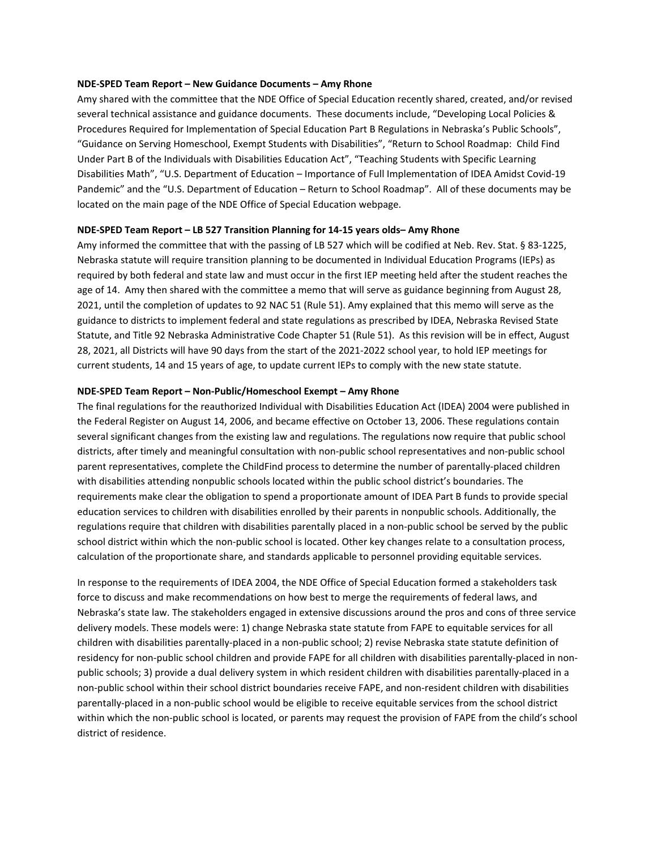#### **NDE-SPED Team Report – New Guidance Documents – Amy Rhone**

Amy shared with the committee that the NDE Office of Special Education recently shared, created, and/or revised several technical assistance and guidance documents. These documents include, "Developing Local Policies & Procedures Required for Implementation of Special Education Part B Regulations in Nebraska's Public Schools", "Guidance on Serving Homeschool, Exempt Students with Disabilities", "Return to School Roadmap: Child Find Under Part B of the Individuals with Disabilities Education Act", "Teaching Students with Specific Learning Disabilities Math", "U.S. Department of Education – Importance of Full Implementation of IDEA Amidst Covid-19 Pandemic" and the "U.S. Department of Education – Return to School Roadmap". All of these documents may be located on the main page of the NDE Office of Special Education webpage.

#### **NDE-SPED Team Report – LB 527 Transition Planning for 14-15 years olds– Amy Rhone**

Amy informed the committee that with the passing of LB 527 which will be codified at Neb. Rev. Stat. § 83-1225, Nebraska statute will require transition planning to be documented in Individual Education Programs (IEPs) as required by both federal and state law and must occur in the first IEP meeting held after the student reaches the age of 14. Amy then shared with the committee a memo that will serve as guidance beginning from August 28, 2021, until the completion of updates to 92 NAC 51 (Rule 51). Amy explained that this memo will serve as the guidance to districts to implement federal and state regulations as prescribed by IDEA, Nebraska Revised State Statute, and Title 92 Nebraska Administrative Code Chapter 51 (Rule 51). As this revision will be in effect, August 28, 2021, all Districts will have 90 days from the start of the 2021-2022 school year, to hold IEP meetings for current students, 14 and 15 years of age, to update current IEPs to comply with the new state statute.

#### **NDE-SPED Team Report – Non-Public/Homeschool Exempt – Amy Rhone**

The final regulations for the reauthorized Individual with Disabilities Education Act (IDEA) 2004 were published in the Federal Register on August 14, 2006, and became effective on October 13, 2006. These regulations contain several significant changes from the existing law and regulations. The regulations now require that public school districts, after timely and meaningful consultation with non-public school representatives and non-public school parent representatives, complete the ChildFind process to determine the number of parentally-placed children with disabilities attending nonpublic schools located within the public school district's boundaries. The requirements make clear the obligation to spend a proportionate amount of IDEA Part B funds to provide special education services to children with disabilities enrolled by their parents in nonpublic schools. Additionally, the regulations require that children with disabilities parentally placed in a non-public school be served by the public school district within which the non-public school is located. Other key changes relate to a consultation process, calculation of the proportionate share, and standards applicable to personnel providing equitable services.

In response to the requirements of IDEA 2004, the NDE Office of Special Education formed a stakeholders task force to discuss and make recommendations on how best to merge the requirements of federal laws, and Nebraska's state law. The stakeholders engaged in extensive discussions around the pros and cons of three service delivery models. These models were: 1) change Nebraska state statute from FAPE to equitable services for all children with disabilities parentally-placed in a non-public school; 2) revise Nebraska state statute definition of residency for non-public school children and provide FAPE for all children with disabilities parentally-placed in nonpublic schools; 3) provide a dual delivery system in which resident children with disabilities parentally-placed in a non-public school within their school district boundaries receive FAPE, and non-resident children with disabilities parentally-placed in a non-public school would be eligible to receive equitable services from the school district within which the non-public school is located, or parents may request the provision of FAPE from the child's school district of residence.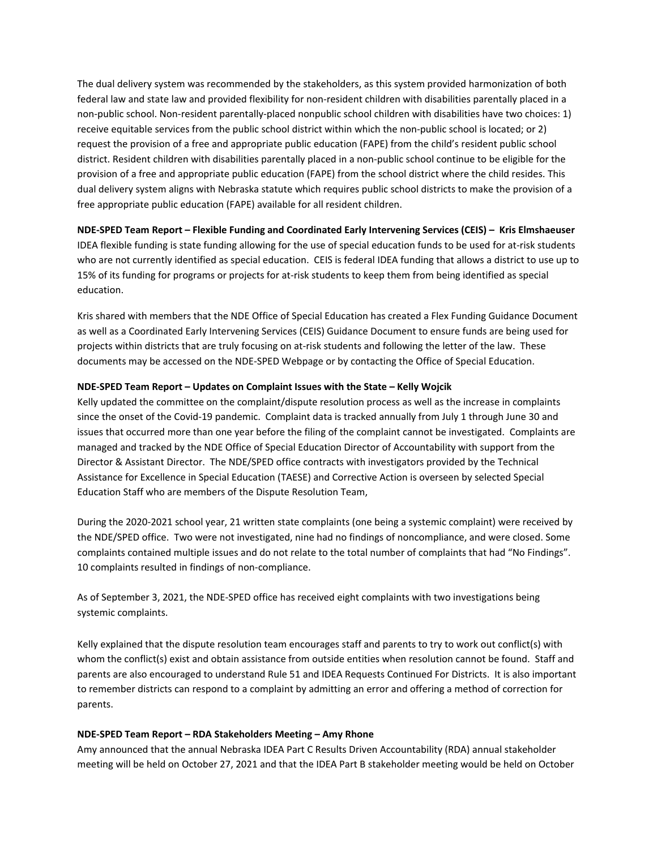The dual delivery system was recommended by the stakeholders, as this system provided harmonization of both federal law and state law and provided flexibility for non-resident children with disabilities parentally placed in a non-public school. Non-resident parentally-placed nonpublic school children with disabilities have two choices: 1) receive equitable services from the public school district within which the non-public school is located; or 2) request the provision of a free and appropriate public education (FAPE) from the child's resident public school district. Resident children with disabilities parentally placed in a non-public school continue to be eligible for the provision of a free and appropriate public education (FAPE) from the school district where the child resides. This dual delivery system aligns with Nebraska statute which requires public school districts to make the provision of a free appropriate public education (FAPE) available for all resident children.

**NDE-SPED Team Report – Flexible Funding and Coordinated Early Intervening Services (CEIS) – Kris Elmshaeuser** IDEA flexible funding is state funding allowing for the use of special education funds to be used for at-risk students who are not currently identified as special education. CEIS is federal IDEA funding that allows a district to use up to 15% of its funding for programs or projects for at-risk students to keep them from being identified as special education.

Kris shared with members that the NDE Office of Special Education has created a Flex Funding Guidance Document as well as a Coordinated Early Intervening Services (CEIS) Guidance Document to ensure funds are being used for projects within districts that are truly focusing on at-risk students and following the letter of the law. These documents may be accessed on the NDE-SPED Webpage or by contacting the Office of Special Education.

### **NDE-SPED Team Report – Updates on Complaint Issues with the State – Kelly Wojcik**

Kelly updated the committee on the complaint/dispute resolution process as well as the increase in complaints since the onset of the Covid-19 pandemic. Complaint data is tracked annually from July 1 through June 30 and issues that occurred more than one year before the filing of the complaint cannot be investigated. Complaints are managed and tracked by the NDE Office of Special Education Director of Accountability with support from the Director & Assistant Director. The NDE/SPED office contracts with investigators provided by the Technical Assistance for Excellence in Special Education (TAESE) and Corrective Action is overseen by selected Special Education Staff who are members of the Dispute Resolution Team,

During the 2020-2021 school year, 21 written state complaints (one being a systemic complaint) were received by the NDE/SPED office. Two were not investigated, nine had no findings of noncompliance, and were closed. Some complaints contained multiple issues and do not relate to the total number of complaints that had "No Findings". 10 complaints resulted in findings of non-compliance.

As of September 3, 2021, the NDE-SPED office has received eight complaints with two investigations being systemic complaints.

Kelly explained that the dispute resolution team encourages staff and parents to try to work out conflict(s) with whom the conflict(s) exist and obtain assistance from outside entities when resolution cannot be found. Staff and parents are also encouraged to understand Rule 51 and IDEA Requests Continued For Districts. It is also important to remember districts can respond to a complaint by admitting an error and offering a method of correction for parents.

### **NDE-SPED Team Report – RDA Stakeholders Meeting – Amy Rhone**

Amy announced that the annual Nebraska IDEA Part C Results Driven Accountability (RDA) annual stakeholder meeting will be held on October 27, 2021 and that the IDEA Part B stakeholder meeting would be held on October